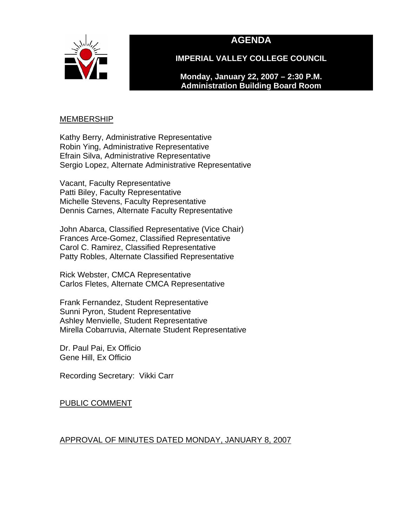

# **AGENDA**

**IMPERIAL VALLEY COLLEGE COUNCIL** 

**Monday, January 22, 2007 – 2:30 P.M. Administration Building Board Room** 

#### <u>MEMBERSHIP</u>

Kathy Berry, Administrative Representative Robin Ying, Administrative Representative Efrain Silva, Administrative Representative Sergio Lopez, Alternate Administrative Representative

Vacant, Faculty Representative Patti Biley, Faculty Representative Michelle Stevens, Faculty Representative Dennis Carnes, Alternate Faculty Representative

John Abarca, Classified Representative (Vice Chair) Frances Arce-Gomez, Classified Representative Carol C. Ramirez, Classified Representative Patty Robles, Alternate Classified Representative

Rick Webster, CMCA Representative Carlos Fletes, Alternate CMCA Representative

Frank Fernandez, Student Representative Sunni Pyron, Student Representative Ashley Menvielle, Student Representative Mirella Cobarruvia, Alternate Student Representative

Dr. Paul Pai, Ex Officio Gene Hill, Ex Officio

Recording Secretary: Vikki Carr

PUBLIC COMMENT

# APPROVAL OF MINUTES DATED MONDAY, JANUARY 8, 2007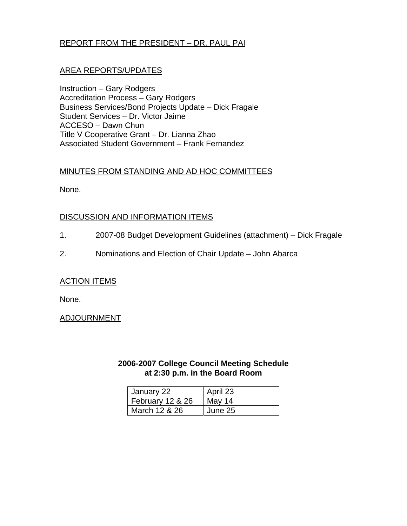# REPORT FROM THE PRESIDENT – DR. PAUL PAI

# AREA REPORTS/UPDATES

Instruction – Gary Rodgers Accreditation Process – Gary Rodgers Business Services/Bond Projects Update – Dick Fragale Student Services – Dr. Victor Jaime ACCESO – Dawn Chun Title V Cooperative Grant – Dr. Lianna Zhao Associated Student Government – Frank Fernandez

### MINUTES FROM STANDING AND AD HOC COMMITTEES

None.

# DISCUSSION AND INFORMATION ITEMS

- 1. 2007-08 Budget Development Guidelines (attachment) Dick Fragale
- 2. Nominations and Election of Chair Update John Abarca

#### ACTION ITEMS

None.

ADJOURNMENT

# **2006-2007 College Council Meeting Schedule at 2:30 p.m. in the Board Room**

| January 22       | April 23 |
|------------------|----------|
| February 12 & 26 | May 14   |
| March 12 & 26    | June 25  |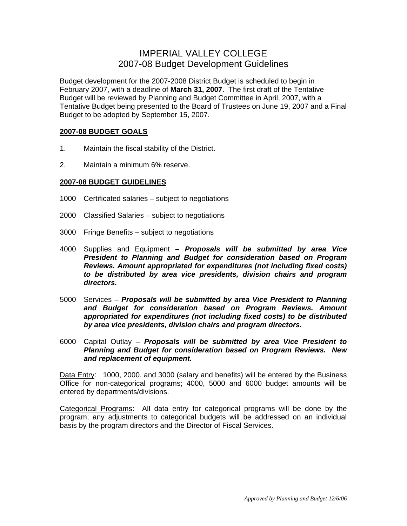# IMPERIAL VALLEY COLLEGE 2007-08 Budget Development Guidelines

Budget development for the 2007-2008 District Budget is scheduled to begin in February 2007, with a deadline of **March 31, 2007**. The first draft of the Tentative Budget will be reviewed by Planning and Budget Committee in April, 2007, with a Tentative Budget being presented to the Board of Trustees on June 19, 2007 and a Final Budget to be adopted by September 15, 2007.

#### **2007-08 BUDGET GOALS**

- 1. Maintain the fiscal stability of the District.
- 2. Maintain a minimum 6% reserve.

#### **2007-08 BUDGET GUIDELINES**

- 1000 Certificated salaries subject to negotiations
- 2000 Classified Salaries subject to negotiations
- 3000 Fringe Benefits subject to negotiations
- 4000 Supplies and Equipment – *Proposals will be submitted by area Vice President to Planning and Budget for consideration based on Program Reviews. Amount appropriated for expenditures (not including fixed costs) to be distributed by area vice presidents, division chairs and program directors.*
- 5000 Services *Proposals will be submitted by area Vice President to Planning and Budget for consideration based on Program Reviews. Amount appropriated for expenditures (not including fixed costs) to be distributed by area vice presidents, division chairs and program directors.*
- 6000 Capital Outlay – *Proposals will be submitted by area Vice President to Planning and Budget for consideration based on Program Reviews. New and replacement of equipment.*

Data Entry: 1000, 2000, and 3000 (salary and benefits) will be entered by the Business Office for non-categorical programs; 4000, 5000 and 6000 budget amounts will be entered by departments/divisions.

Categorical Programs: All data entry for categorical programs will be done by the program; any adjustments to categorical budgets will be addressed on an individual basis by the program directors and the Director of Fiscal Services.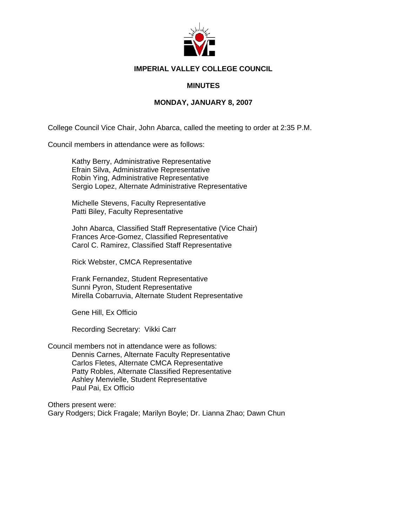

#### **IMPERIAL VALLEY COLLEGE COUNCIL**

#### **MINUTES**

#### **MONDAY, JANUARY 8, 2007**

College Council Vice Chair, John Abarca, called the meeting to order at 2:35 P.M.

Council members in attendance were as follows:

Kathy Berry, Administrative Representative Efrain Silva, Administrative Representative Robin Ying, Administrative Representative Sergio Lopez, Alternate Administrative Representative

Michelle Stevens, Faculty Representative Patti Biley, Faculty Representative

John Abarca, Classified Staff Representative (Vice Chair) Frances Arce-Gomez, Classified Representative Carol C. Ramirez, Classified Staff Representative

Rick Webster, CMCA Representative

Frank Fernandez, Student Representative Sunni Pyron, Student Representative Mirella Cobarruvia, Alternate Student Representative

Gene Hill, Ex Officio

Recording Secretary: Vikki Carr

Council members not in attendance were as follows: Dennis Carnes, Alternate Faculty Representative Carlos Fletes, Alternate CMCA Representative Patty Robles, Alternate Classified Representative Ashley Menvielle, Student Representative Paul Pai, Ex Officio

Others present were: Gary Rodgers; Dick Fragale; Marilyn Boyle; Dr. Lianna Zhao; Dawn Chun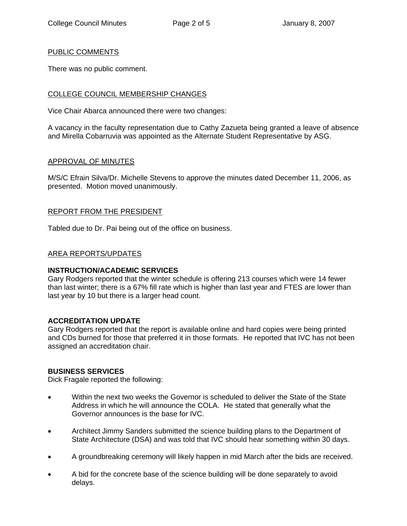#### PUBLIC COMMENTS

There was no public comment.

#### COLLEGE COUNCIL MEMBERSHIP CHANGES

Vice Chair Abarca announced there were two changes:

A vacancy in the faculty representation due to Cathy Zazueta being granted a leave of absence and Mirella Cobarruvia was appointed as the Alternate Student Representative by ASG.

#### APPROVAL OF MINUTES

M/S/C Efrain Silva/Dr. Michelle Stevens to approve the minutes dated December 11, 2006, as presented. Motion moved unanimously.

#### REPORT FROM THE PRESIDENT

Tabled due to Dr. Pai being out of the office on business.

#### AREA REPORTS/UPDATES

#### **INSTRUCTION/ACADEMIC SERVICES**

Gary Rodgers reported that the winter schedule is offering 213 courses which were 14 fewer than last winter; there is a 67% fill rate which is higher than last year and FTES are lower than last year by 10 but there is a larger head count.

#### **ACCREDITATION UPDATE**

Gary Rodgers reported that the report is available online and hard copies were being printed and CDs burned for those that preferred it in those formats. He reported that IVC has not been assigned an accreditation chair.

#### **BUSINESS SERVICES**

Dick Fragale reported the following:

- Within the next two weeks the Governor is scheduled to deliver the State of the State Address in which he will announce the COLA. He stated that generally what the Governor announces is the base for IVC.
- Architect Jimmy Sanders submitted the science building plans to the Department of State Architecture (DSA) and was told that IVC should hear something within 30 days.
- A groundbreaking ceremony will likely happen in mid March after the bids are received.
- A bid for the concrete base of the science building will be done separately to avoid delays.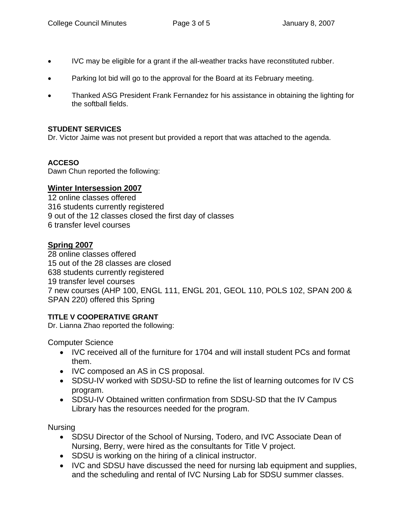- IVC may be eligible for a grant if the all-weather tracks have reconstituted rubber.
- Parking lot bid will go to the approval for the Board at its February meeting.
- Thanked ASG President Frank Fernandez for his assistance in obtaining the lighting for the softball fields.

### **STUDENT SERVICES**

Dr. Victor Jaime was not present but provided a report that was attached to the agenda.

# **ACCESO**

Dawn Chun reported the following:

# **Winter Intersession 2007**

12 online classes offered 316 students currently registered 9 out of the 12 classes closed the first day of classes 6 transfer level courses

# **Spring 2007**

28 online classes offered 15 out of the 28 classes are closed 638 students currently registered 19 transfer level courses 7 new courses (AHP 100, ENGL 111, ENGL 201, GEOL 110, POLS 102, SPAN 200 & SPAN 220) offered this Spring

# **TITLE V COOPERATIVE GRANT**

Dr. Lianna Zhao reported the following:

Computer Science

- IVC received all of the furniture for 1704 and will install student PCs and format them.
- IVC composed an AS in CS proposal.
- SDSU-IV worked with SDSU-SD to refine the list of learning outcomes for IV CS program.
- SDSU-IV Obtained written confirmation from SDSU-SD that the IV Campus Library has the resources needed for the program.

Nursing

- SDSU Director of the School of Nursing, Todero, and IVC Associate Dean of Nursing, Berry, were hired as the consultants for Title V project.
- SDSU is working on the hiring of a clinical instructor.
- IVC and SDSU have discussed the need for nursing lab equipment and supplies, and the scheduling and rental of IVC Nursing Lab for SDSU summer classes.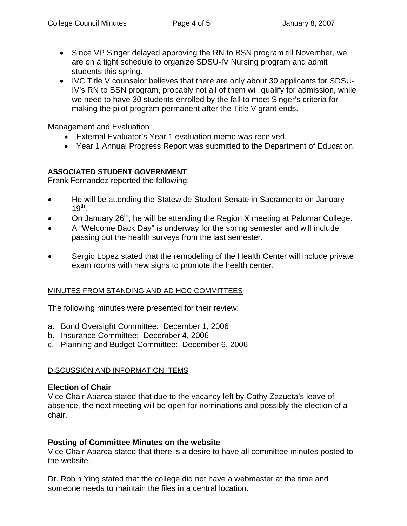- Since VP Singer delayed approving the RN to BSN program till November, we are on a tight schedule to organize SDSU-IV Nursing program and admit students this spring.
- IVC Title V counselor believes that there are only about 30 applicants for SDSU-IV's RN to BSN program, probably not all of them will qualify for admission, while we need to have 30 students enrolled by the fall to meet Singer's criteria for making the pilot program permanent after the Title V grant ends.

Management and Evaluation

- External Evaluator's Year 1 evaluation memo was received.
- Year 1 Annual Progress Report was submitted to the Department of Education.

# **ASSOCIATED STUDENT GOVERNMENT**

Frank Fernandez reported the following:

- He will be attending the Statewide Student Senate in Sacramento on January  $19^{th}$ .
- On January  $26<sup>th</sup>$ , he will be attending the Region X meeting at Palomar College.
- A "Welcome Back Day" is underway for the spring semester and will include passing out the health surveys from the last semester.
- Sergio Lopez stated that the remodeling of the Health Center will include private exam rooms with new signs to promote the health center.

# MINUTES FROM STANDING AND AD HOC COMMITTEES

The following minutes were presented for their review:

- a. Bond Oversight Committee: December 1, 2006
- b. Insurance Committee: December 4, 2006
- c. Planning and Budget Committee: December 6, 2006

# DISCUSSION AND INFORMATION ITEMS

# **Election of Chair**

Vice Chair Abarca stated that due to the vacancy left by Cathy Zazueta's leave of absence, the next meeting will be open for nominations and possibly the election of a chair.

# **Posting of Committee Minutes on the website**

Vice Chair Abarca stated that there is a desire to have all committee minutes posted to the website.

Dr. Robin Ying stated that the college did not have a webmaster at the time and someone needs to maintain the files in a central location.